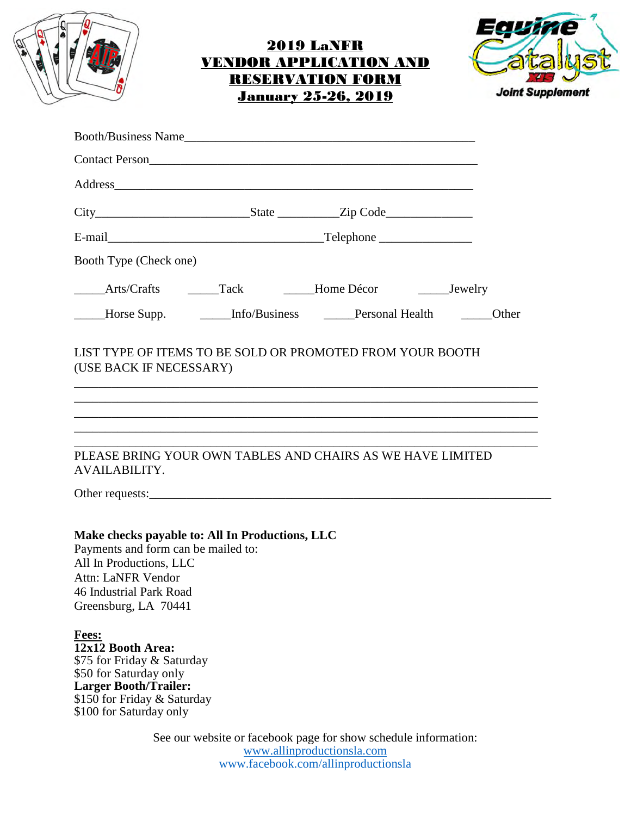|--|

## 2019 LaNFR VENDOR APPLICATION AND RESERVATION FORM January 25-26, 2019



| Contact Person<br><u>Contact Person</u>                                                                                                                                                                                        |  |                                                                                                                                      |                                                       |  |
|--------------------------------------------------------------------------------------------------------------------------------------------------------------------------------------------------------------------------------|--|--------------------------------------------------------------------------------------------------------------------------------------|-------------------------------------------------------|--|
| Address and the contract of the contract of the contract of the contract of the contract of the contract of the contract of the contract of the contract of the contract of the contract of the contract of the contract of th |  |                                                                                                                                      |                                                       |  |
|                                                                                                                                                                                                                                |  |                                                                                                                                      |                                                       |  |
|                                                                                                                                                                                                                                |  |                                                                                                                                      |                                                       |  |
| Booth Type (Check one)                                                                                                                                                                                                         |  |                                                                                                                                      |                                                       |  |
| Arts/Crafts ______Tack ______Home Décor _________Jewelry                                                                                                                                                                       |  |                                                                                                                                      |                                                       |  |
| _____Horse Supp.                                                                                                                                                                                                               |  |                                                                                                                                      | Info/Business <b>Department Personal Health</b> Other |  |
| LIST TYPE OF ITEMS TO BE SOLD OR PROMOTED FROM YOUR BOOTH<br>(USE BACK IF NECESSARY)                                                                                                                                           |  |                                                                                                                                      |                                                       |  |
| PLEASE BRING YOUR OWN TABLES AND CHAIRS AS WE HAVE LIMITED<br><b>AVAILABILITY.</b>                                                                                                                                             |  |                                                                                                                                      |                                                       |  |
|                                                                                                                                                                                                                                |  |                                                                                                                                      |                                                       |  |
| Make checks payable to: All In Productions, LLC<br>Payments and form can be mailed to:<br>All In Productions, LLC<br>Attn: LaNFR Vendor<br>46 Industrial Park Road<br>Greensburg, LA 70441                                     |  |                                                                                                                                      |                                                       |  |
| <b>Fees:</b><br>12x12 Booth Area:<br>\$75 for Friday & Saturday<br>\$50 for Saturday only<br><b>Larger Booth/Trailer:</b><br>\$150 for Friday & Saturday<br>\$100 for Saturday only                                            |  |                                                                                                                                      |                                                       |  |
|                                                                                                                                                                                                                                |  | See our website or facebook page for show schedule information:<br>www.allinproductionsla.com<br>www.facebook.com/allinproductionsla |                                                       |  |